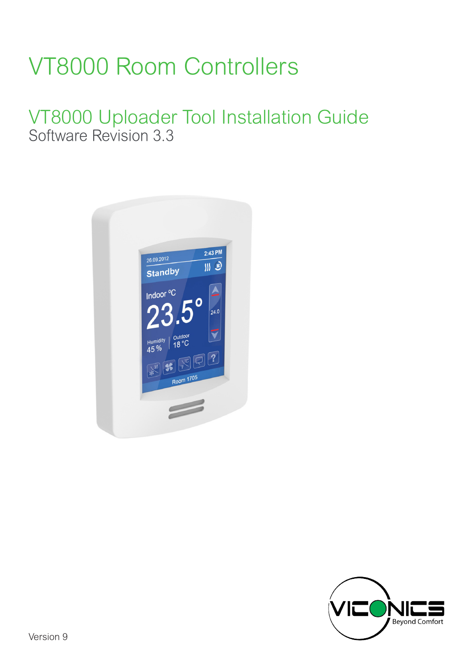# VT8000 Room Controllers

# VT8000 Uploader Tool Installation Guide Software Revision 3.3



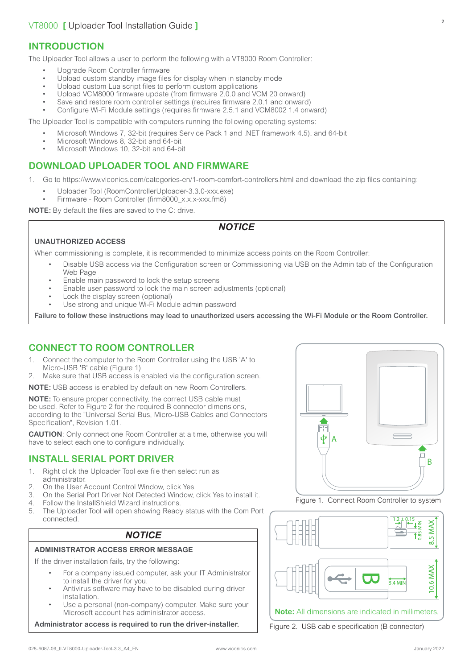# **INTRODUCTION**

The Uploader Tool allows a user to perform the following with a VT8000 Room Controller:

- Upgrade Room Controller firmware
- Upload custom standby image files for display when in standby mode
- Upload custom Lua script files to perform custom applications
- Upload VCM8000 firmware update (from firmware 2.0.0 and VCM 20 onward)
- Save and restore room controller settings (requires firmware 2.0.1 and onward)

• Configure Wi-Fi Module settings (requires firmware 2.5.1 and VCM8002 1.4 onward)

The Uploader Tool is compatible with computers running the following operating systems:

- Microsoft Windows 7, 32-bit (requires Service Pack 1 and .NET framework 4.5), and 64-bit
- Microsoft Windows 8, 32-bit and 64-bit
- Microsoft Windows 10, 32-bit and 64-bit

### **DOWNLOAD UPLOADER TOOL AND FIRMWARE**

1. Go to <https://www.viconics.com/categories-en/1-room-comfort-controllers.html> and download the zip files containing:

- Uploader Tool (RoomControllerUploader-3.3.0-xxx.exe)
- Firmware Room Controller (firm8000\_x x x-xxx fm8)

**NOTE:** By default the files are saved to the C: drive.

#### *NOTICE*

#### **UNAUTHORIZED ACCESS**

When commissioning is complete, it is recommended to minimize access points on the Room Controller:

- Disable USB access via the Configuration screen or Commissioning via USB on the Admin tab of the Configuration Web Page
- Enable main password to lock the setup screens
- Enable user password to lock the main screen adjustments (optional)
- Lock the display screen (optional)
- Use strong and unique Wi-Fi Module admin password

Failure to follow these instructions may lead to unauthorized users accessing the Wi-Fi Module or the Room Controller.

# **CONNECT TO ROOM CONTROLLER**

- 1. Connect the computer to the Room Controller using the USB 'A' to Micro-USB 'B' cable (Figure 1).
- 2. Make sure that USB access is enabled via the configuration screen.

**NOTE:** USB access is enabled by default on new Room Controllers.

**NOTE:** To ensure proper connectivity, the correct USB cable must be used. Refer to Figure 2 for the required B connector dimensions, according to the "Universal Serial Bus, Micro-USB Cables and Connectors Specification", Revision 1.01.

**CAUTION**: Only connect one Room Controller at a time, otherwise you will have to select each one to configure individually.

### **INSTALL SERIAL PORT DRIVER**

- 1. Right click the Uploader Tool exe file then select run as administrator.
- 2. On the User Account Control Window, click Yes.<br>3. On the Serial Port Driver Not Detected Window
- 3. On the Serial Port Driver Not Detected Window, click Yes to install it. 4. Follow the InstallShield Wizard instructions.
- 
- 5. The Uploader Tool will open showing Ready status with the Com Port connected.

### *NOTICE*

#### **ADMINISTRATOR ACCESS ERROR MESSAGE**

If the driver installation fails, try the following

- For a company issued computer, ask your IT Administrator to install the driver for you.
- Antivirus software may have to be disabled during driver installation.
- Use a personal (non-company) computer. Make sure your Microsoft account has administrator access.

**Administrator access is required to run the driver-installer.**







Figure 2. USB cable specification (B connector)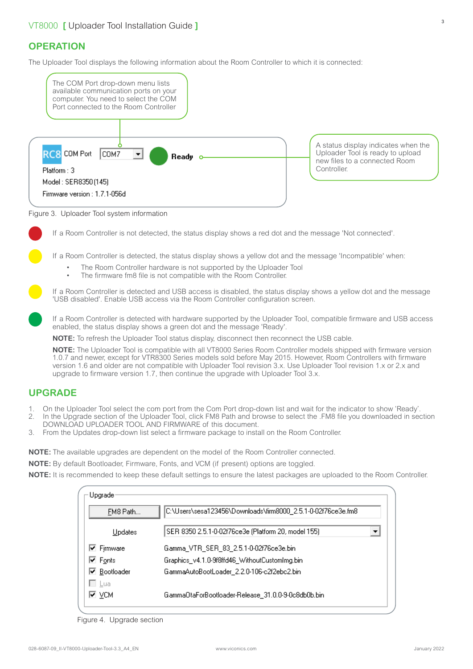# **OPERATION**

The Uploader Tool displays the following information about the Room Controller to which it is connected:



Figure 3. Uploader Tool system information

If a Room Controller is not detected, the status display shows a red dot and the message 'Not connected'.

If a Room Controller is detected, the status display shows a yellow dot and the message 'Incompatible' when:

- The Room Controller hardware is not supported by the Uploader Tool
- The firmware fm8 file is not compatible with the Room Controller.

If a Room Controller is detected and USB access is disabled, the status display shows a yellow dot and the message 'USB disabled'. Enable USB access via the Room Controller configuration screen.

If a Room Controller is detected with hardware supported by the Uploader Tool, compatible firmware and USB access enabled, the status display shows a green dot and the message 'Ready'.

**NOTE:** To refresh the Uploader Tool status display, disconnect then reconnect the USB cable.

**NOTE:** The Uploader Tool is compatible with all VT8000 Series Room Controller models shipped with firmware version 1.0.7 and newer, except for VTR8300 Series models sold before May 2015. However, Room Controllers with firmware version 1.6 and older are not compatible with Uploader Tool revision 3.x. Use Uploader Tool revision 1.x or 2.x and upgrade to firmware version 1.7, then continue the upgrade with Uploader Tool 3.x.

# **UPGRADE**

- 1. On the Uploader Tool select the com port from the Com Port drop-down list and wait for the indicator to show 'Ready'.
- 2. In the Upgrade section of the Uploader Tool, click FM8 Path and browse to select the .FM8 file you downloaded in section DOWNLOAD UPLOADER TOOL AND FIRMWARE of this document.
- 3. From the Updates drop-down list select a firmware package to install on the Room Controller.

**NOTE:** The available upgrades are dependent on the model of the Room Controller connected.

**NOTE:** By default Bootloader, Firmware, Fonts, and VCM (if present) options are toggled.

**NOTE:** It is recommended to keep these default settings to ensure the latest packages are uploaded to the Room Controller.

| Upgrade:                  |                                                              |  |  |
|---------------------------|--------------------------------------------------------------|--|--|
| FM8 Path                  | C:\Users\sesa123456\Downloads\firm8000_2.5.1-0-02f76ce3e.fm8 |  |  |
| <b>Updates</b>            | SER 8350 2.5.1-0-02f76ce3e (Platform 20, model 155)          |  |  |
| <b>Ø</b> Fjrmware         | Gamma_VTR_SER_83_2.5.1-0-02f76ce3e.bin                       |  |  |
| <b>☑</b> Fonts            | Graphics_v4.1.0-9f8ffd46_WithoutCustomImg.bin                |  |  |
| <mark>⊽ Bootloader</mark> | GammaAutoBootLoader_2.2.0-106-c2f2ebc2.bin                   |  |  |
| ⊟ Lua                     |                                                              |  |  |
| ∣⊽ ∨см                    | GammaOtaForBootloader-Release 31.0.0-9-0c8db0b.bin.          |  |  |
|                           |                                                              |  |  |

Figure 4. Upgrade section

3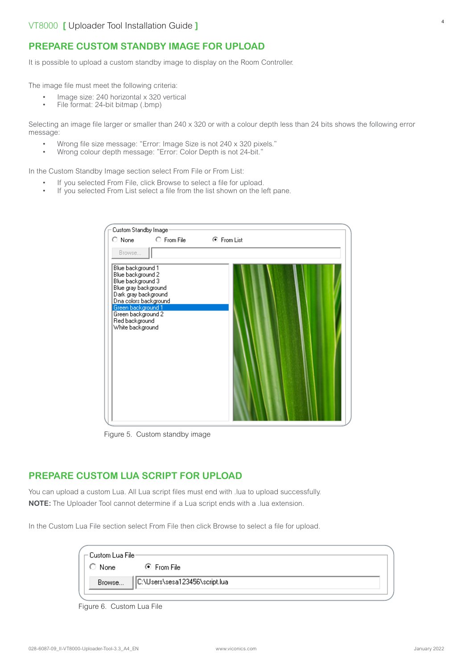It is possible to upload a custom standby image to display on the Room Controller.

The image file must meet the following criteria:

- Image size: 240 horizontal x 320 vertical
- File format: 24-bit bitmap (.bmp)

Selecting an image file larger or smaller than 240 x 320 or with a colour depth less than 24 bits shows the following error message:

- Wrong file size message: "Error: Image Size is not 240 x 320 pixels."
- Wrong colour depth message: "Error: Color Depth is not 24-bit."

In the Custom Standby Image section select From File or From List:

- If you selected From File, click Browse to select a file for upload.
- If you selected From List select a file from the list shown on the left pane.

| Custom Standby Image:                                                                                                                                      |             |             |
|------------------------------------------------------------------------------------------------------------------------------------------------------------|-------------|-------------|
| $\circ$ None                                                                                                                                               | C From File | ⊙ From List |
| Browse                                                                                                                                                     |             |             |
| Blue background 1<br>Blue background 2<br>Blue background 3<br>Blue gray background<br>Dark gray background<br>Dna colors background<br>Green background 1 |             |             |
| Green background 2<br>Red background<br>White background                                                                                                   |             |             |

Figure 5. Custom standby image

## **PREPARE CUSTOM LUA SCRIPT FOR UPLOAD**

You can upload a custom Lua. All Lua script files must end with .lua to upload successfully. **NOTE:** The Uploader Tool cannot determine if a Lua script ends with a .lua extension.

In the Custom Lua File section select From File then click Browse to select a file for upload.

| — Custom Lua Filer |                                        |  |
|--------------------|----------------------------------------|--|
| $\bigcirc$ None    | . ⊙ From File                          |  |
|                    | Browse  C:\Users\sesa123456\script.lua |  |

Figure 6. Custom Lua File

4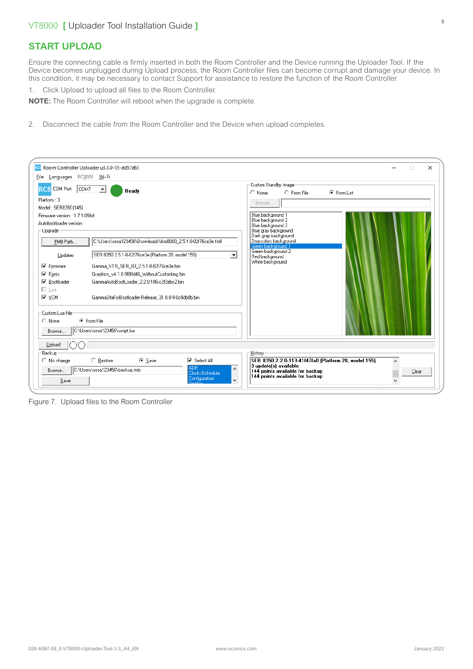# **START UPLOAD**

Ensure the connecting cable is firmly inserted in both the Room Controller and the Device running the Uploader Tool. If the Device becomes unplugged during Upload process, the Room Controller files can become corrupt and damage your device. In this condition, it may be necessary to contact Support for assistance to restore the function of the Room Controller.

1. Click Upload to upload all files to the Room Controller.

**NOTE:** The Room Controller will reboot when the upgrade is complete.

2. Disconnect the cable from the Room Controller and the Device when upload completes.

|                                                                                                                       | RC8 Room Controller Uploader u3.3.0-55-dd57d63                                                                                                                                                                            | X<br>o                                                                                                                                                                                                             |  |  |
|-----------------------------------------------------------------------------------------------------------------------|---------------------------------------------------------------------------------------------------------------------------------------------------------------------------------------------------------------------------|--------------------------------------------------------------------------------------------------------------------------------------------------------------------------------------------------------------------|--|--|
| File Languages RC8000 Wi-Fi                                                                                           |                                                                                                                                                                                                                           |                                                                                                                                                                                                                    |  |  |
| RC8 COM Port<br>COM7<br>Platform: 3<br>Model: SER8350 (145)<br>Firmware version: 1.7.1-056d<br>Autobootloader version | $\blacktriangledown$<br>Ready                                                                                                                                                                                             | Custom Standby Image<br>C From File<br>C From List<br>$\bigcirc$ None<br>Browse<br>Blue background 1<br>Blue background 2<br>Blue background 3                                                                     |  |  |
| -Upgrade-<br>FM8 Path<br>Updates<br><b>▽</b> Firmware<br>$\nabla$ Fonts                                               | C:\Users\sesa123456\Downloads\firm8000_2.5.1-0-02f76ce3e.fm8<br>SER 8350 2.5.1-0-02f76ce3e (Platform 20, model 155)<br>$\vert$<br>Gamma_VTR_SER_83_2.5.1-0-02f76ce3e.bin<br>Graphics v4.1.0-9f8ffd46 WithoutCustomImg.bin | Blue gray background<br>Dark gray background<br>Dna colors background<br>Green background 1<br>Green background 2<br>Red background<br>White background                                                            |  |  |
| <b>▽</b> Bootloader<br>□ Lua<br>∣⊽ ⊻см                                                                                | GammaAutoBootLoader 2.2.0-106-c2f2ebc2.bin<br>GammaOtaForBootloader-Release 31.0.0-9-0c8db0b.bin                                                                                                                          |                                                                                                                                                                                                                    |  |  |
| Custom Lua File<br>$\bigcirc$ None<br>Browse                                                                          | ⊙ From File<br>C:\Users\sesa123456\script.lua                                                                                                                                                                             |                                                                                                                                                                                                                    |  |  |
| Upload<br>Backup<br>$\bigcirc$ No change<br>Browse<br>Save                                                            | $\bigcirc$ Restore<br>⊙ Save<br><b>▽</b> Select All<br>AD <sub>R</sub><br>C:\Users\sesa123456\backup.fmb<br>Clock/Schedule<br><b>Configuration</b><br>$\checkmark$                                                        | History <sup>-</sup><br>SER 8350 2.2.0-113-41f47fa0 (Platform 20, model 155)<br>$\boldsymbol{\wedge}$<br>3 update(s) available<br>144 points available for backup<br>Clear<br>144 points available for backup<br>v |  |  |

Figure 7. Upload files to the Room Controller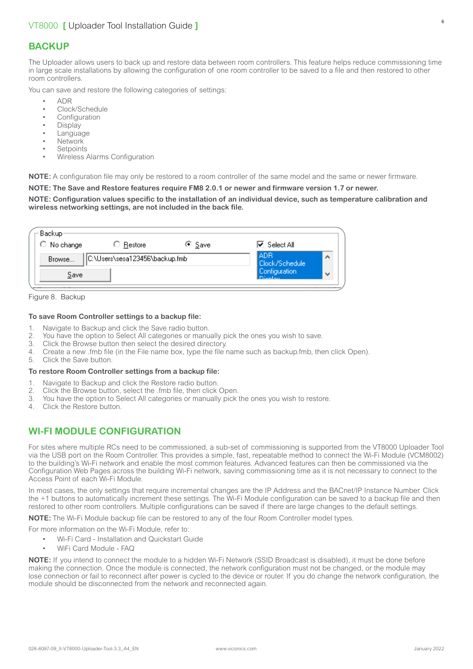# **BACKUP**

The Uploader allows users to back up and restore data between room controllers. This feature helps reduce commissioning time in large scale installations by allowing the configuration of one room controller to be saved to a file and then restored to other room controllers.

You can save and restore the following categories of settings:

- ADR
- Clock/Schedule
- **Configuration**
- **Display**
- **Language**
- Network
- **Setpoints**
- Wireless Alarms Configuration

**NOTE:** A configuration file may only be restored to a room controller of the same model and the same or newer firmware.

#### **NOTE: The Save and Restore features require FM8 2.0.1 or newer and firmware version 1.7 or newer.**

#### **NOTE: Configuration values specific to the installation of an individual device, such as temperature calibration and wireless networking settings, are not included in the back file.**

| Backup-<br>$\bigcirc$ No change          | ○ Restore: | ⊕ <u>S</u> ave | l <b>⊽</b> Select All                |              |
|------------------------------------------|------------|----------------|--------------------------------------|--------------|
| C:\Users\sesa123456\backup.fmb<br>Browse |            |                | <b>LADR</b><br><b>Clock/Schedule</b> | ́            |
| Save                                     |            |                | Configuration<br>Dionlan             | $\checkmark$ |

Figure 8. Backup

#### **To save Room Controller settings to a backup file:**

- 1. Navigate to Backup and click the Save radio button.
- 2. You have the option to Select All categories or manually pick the ones you wish to save.
- 3. Click the Browse button then select the desired directory.
- 4. Create a new .fmb file (in the File name box, type the file name such as backup.fmb, then click Open).<br>5. Click the Save button
- Click the Save button.

#### **To restore Room Controller settings from a backup file:**

- 
- 1. Navigate to Backup and click the Restore radio button.<br>2. Click the Browse button, select the fmb file, then click 2. Click the Browse button, select the .fmb file, then click Open.
- 3. You have the option to Select All categories or manually pick the ones you wish to restore.
- 4. Click the Restore button.

# **WI-FI MODULE CONFIGURATION**

For sites where multiple RCs need to be commissioned, a sub-set of commissioning is supported from the VT8000 Uploader Tool via the USB port on the Room Controller. This provides a simple, fast, repeatable method to connect the Wi-Fi Module (VCM8002) to the building's Wi-Fi network and enable the most common features. Advanced features can then be commissioned via the Configuration Web Pages across the building Wi-Fi network, saving commissioning time as it is not necessary to connect to the Access Point of each Wi-Fi Module.

In most cases, the only settings that require incremental changes are the IP Address and the BACnet/IP Instance Number. Click the +1 buttons to automatically increment these settings. The Wi-Fi Module configuration can be saved to a backup file and then restored to other room controllers. Multiple configurations can be saved if there are large changes to the default settings.

**NOTE:** The Wi-Fi Module backup file can be restored to any of the four Room Controller model types.

For more information on the Wi-Fi Module, refer to:

- [Wi-Fi Card Installation and Quickstart Guide](https://www.viconics.com/product/76-bacnet-ip-over-wi-fi-communication-card-for-vt8000-room-controllers.html)
	- [WiFi Card Module FAQ](https://www.viconics.com/product/76-bacnet-ip-over-wi-fi-communication-card-for-vt8000-room-controllers.html)

**NOTE:** If you intend to connect the module to a hidden Wi-Fi Network (SSID Broadcast is disabled), it must be done before making the connection. Once the module is connected, the network configuration must not be changed, or the module may lose connection or fail to reconnect after power is cycled to the device or router. If you do change the network configuration, the module should be disconnected from the network and reconnected again.

6